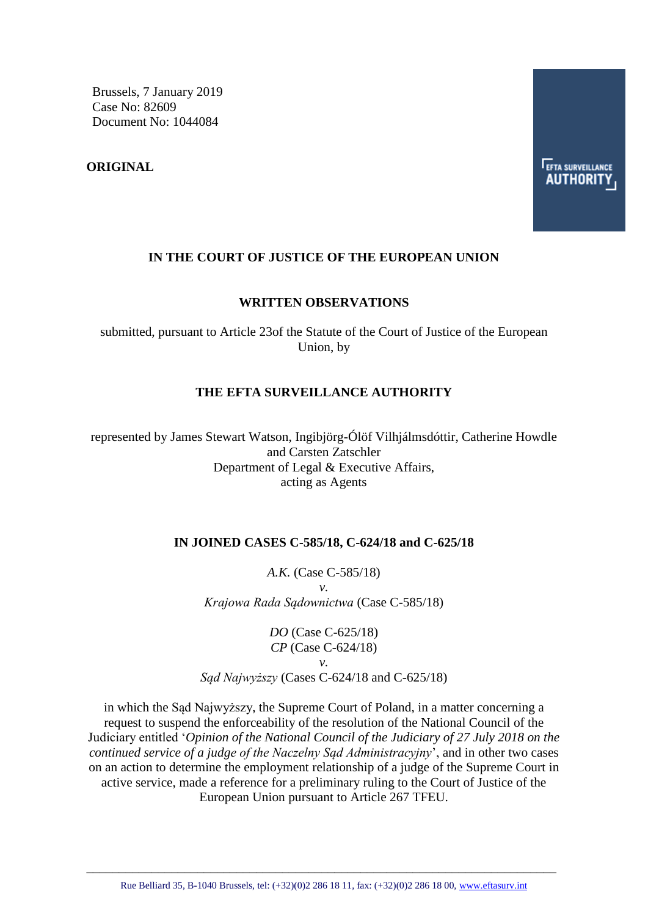Brussels, 7 January 2019 Case No: 82609 Document No: 1044084

**ORIGINAL**

### **IN THE COURT OF JUSTICE OF THE EUROPEAN UNION**

#### **WRITTEN OBSERVATIONS**

submitted, pursuant to Article 23of the Statute of the Court of Justice of the European Union, by

### **THE EFTA SURVEILLANCE AUTHORITY**

represented by James Stewart Watson, Ingibjörg-Ólöf Vilhjálmsdóttir, Catherine Howdle and Carsten Zatschler Department of Legal & Executive Affairs, acting as Agents

#### **IN JOINED CASES C-585/18, C-624/18 and C-625/18**

*A.K.* (Case C-585/18) *v. Krajowa Rada Sądownictwa* (Case C-585/18)

*DO* (Case C-625/18) *CP* (Case C-624/18) *v. Sąd Najwyższy* (Cases C-624/18 and C-625/18)

in which the Sąd Najwyższy, the Supreme Court of Poland, in a matter concerning a request to suspend the enforceability of the resolution of the National Council of the Judiciary entitled '*Opinion of the National Council of the Judiciary of 27 July 2018 on the continued service of a judge of the Naczelny Sąd Administracyjny*', and in other two cases on an action to determine the employment relationship of a judge of the Supreme Court in active service, made a reference for a preliminary ruling to the Court of Justice of the European Union pursuant to Article 267 TFEU.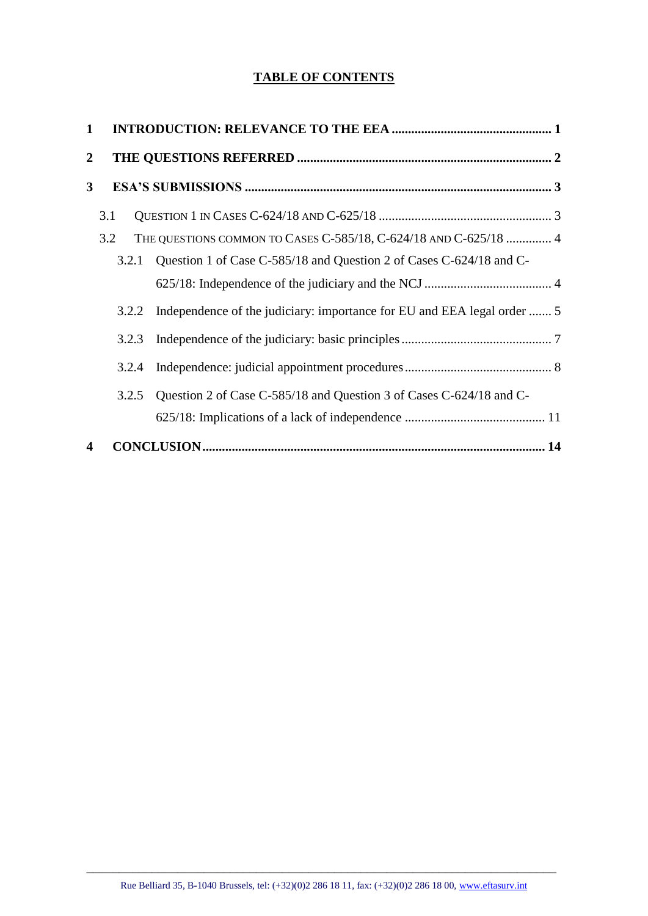# **TABLE OF CONTENTS**

| $\mathbf 1$      |       |                                                                         |  |
|------------------|-------|-------------------------------------------------------------------------|--|
| $\overline{2}$   |       |                                                                         |  |
| 3                |       |                                                                         |  |
|                  | 3.1   |                                                                         |  |
|                  | 3.2   | THE QUESTIONS COMMON TO CASES C-585/18, C-624/18 AND C-625/18  4        |  |
|                  | 3.2.1 | Question 1 of Case C-585/18 and Question 2 of Cases C-624/18 and C-     |  |
|                  |       |                                                                         |  |
|                  | 3.2.2 | Independence of the judiciary: importance for EU and EEA legal order  5 |  |
|                  | 3.2.3 |                                                                         |  |
|                  | 3.2.4 |                                                                         |  |
|                  | 3.2.5 | Question 2 of Case C-585/18 and Question 3 of Cases C-624/18 and C-     |  |
|                  |       |                                                                         |  |
| $\boldsymbol{4}$ |       |                                                                         |  |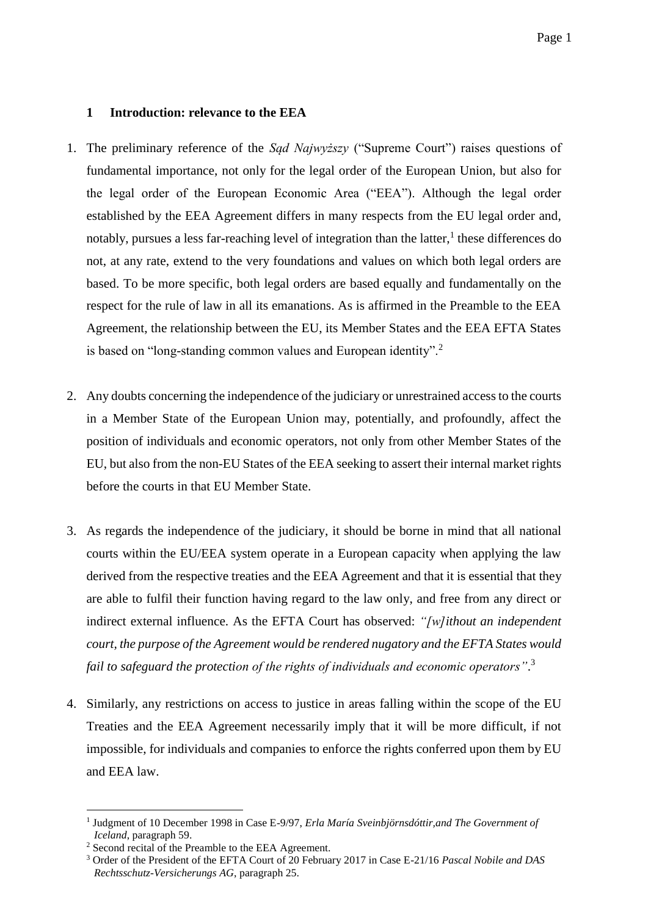## <span id="page-2-0"></span>**1 Introduction: relevance to the EEA**

- 1. The preliminary reference of the *Sąd Najwyższy* ("Supreme Court") raises questions of fundamental importance, not only for the legal order of the European Union, but also for the legal order of the European Economic Area ("EEA"). Although the legal order established by the EEA Agreement differs in many respects from the EU legal order and, notably, pursues a less far-reaching level of integration than the latter, $<sup>1</sup>$  these differences do</sup> not, at any rate, extend to the very foundations and values on which both legal orders are based. To be more specific, both legal orders are based equally and fundamentally on the respect for the rule of law in all its emanations. As is affirmed in the Preamble to the EEA Agreement, the relationship between the EU, its Member States and the EEA EFTA States is based on "long-standing common values and European identity".<sup>2</sup>
- 2. Any doubts concerning the independence of the judiciary or unrestrained access to the courts in a Member State of the European Union may, potentially, and profoundly, affect the position of individuals and economic operators, not only from other Member States of the EU, but also from the non-EU States of the EEA seeking to assert their internal market rights before the courts in that EU Member State.
- 3. As regards the independence of the judiciary, it should be borne in mind that all national courts within the EU/EEA system operate in a European capacity when applying the law derived from the respective treaties and the EEA Agreement and that it is essential that they are able to fulfil their function having regard to the law only, and free from any direct or indirect external influence. As the EFTA Court has observed: *"[w]ithout an independent court, the purpose of the Agreement would be rendered nugatory and the EFTA States would fail to safeguard the protection of the rights of individuals and economic operators"*. 3
- 4. Similarly, any restrictions on access to justice in areas falling within the scope of the EU Treaties and the EEA Agreement necessarily imply that it will be more difficult, if not impossible, for individuals and companies to enforce the rights conferred upon them by EU and EEA law.

<sup>&</sup>lt;sup>1</sup> Judgment of 10 December 1998 in Case E-9/97, *Erla María Sveinbjörnsdóttir, and The Government of Iceland*, paragraph 59.

<sup>2</sup> Second recital of the Preamble to the EEA Agreement.

<sup>3</sup> Order of the President of the EFTA Court of 20 February 2017 in Case E-21/16 *Pascal Nobile and DAS Rechtsschutz-Versicherungs AG*, paragraph 25.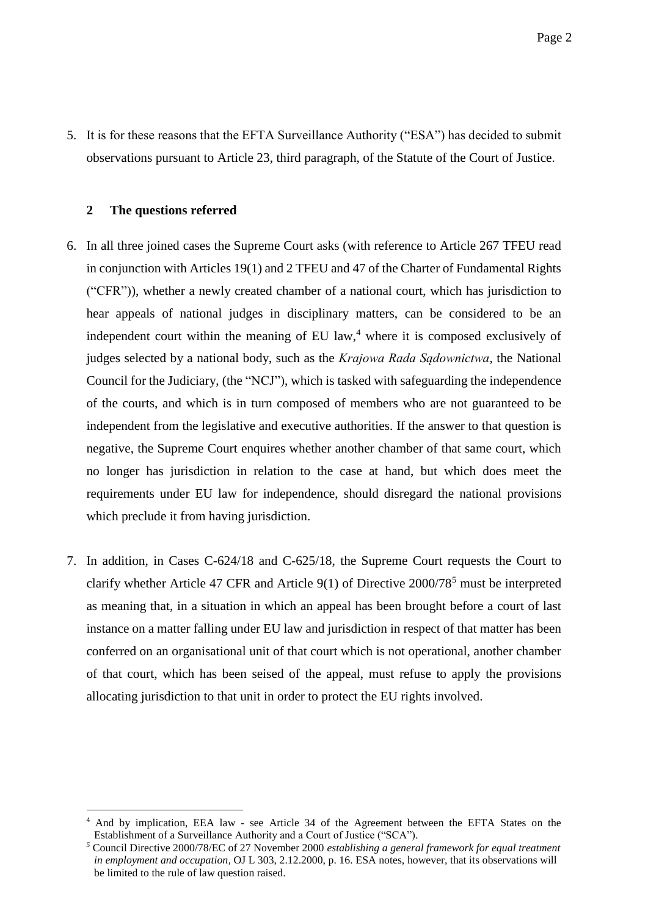5. It is for these reasons that the EFTA Surveillance Authority ("ESA") has decided to submit observations pursuant to Article 23, third paragraph, of the Statute of the Court of Justice.

#### <span id="page-3-0"></span>**2 The questions referred**

- 6. In all three joined cases the Supreme Court asks (with reference to Article 267 TFEU read in conjunction with Articles 19(1) and 2 TFEU and 47 of the Charter of Fundamental Rights ("CFR")), whether a newly created chamber of a national court, which has jurisdiction to hear appeals of national judges in disciplinary matters, can be considered to be an independent court within the meaning of EU law, <sup>4</sup> where it is composed exclusively of judges selected by a national body, such as the *Krajowa Rada Sądownictwa*, the National Council for the Judiciary, (the "NCJ"), which is tasked with safeguarding the independence of the courts, and which is in turn composed of members who are not guaranteed to be independent from the legislative and executive authorities. If the answer to that question is negative, the Supreme Court enquires whether another chamber of that same court, which no longer has jurisdiction in relation to the case at hand, but which does meet the requirements under EU law for independence, should disregard the national provisions which preclude it from having jurisdiction.
- 7. In addition, in Cases C-624/18 and C-625/18, the Supreme Court requests the Court to clarify whether Article 47 CFR and Article 9(1) of Directive  $2000/78^5$  must be interpreted as meaning that, in a situation in which an appeal has been brought before a court of last instance on a matter falling under EU law and jurisdiction in respect of that matter has been conferred on an organisational unit of that court which is not operational, another chamber of that court, which has been seised of the appeal, must refuse to apply the provisions allocating jurisdiction to that unit in order to protect the EU rights involved.

<sup>4</sup> And by implication, EEA law - see Article 34 of the Agreement between the EFTA States on the Establishment of a Surveillance Authority and a Court of Justice ("SCA")*.*

*<sup>5</sup>* Council Directive 2000/78/EC of 27 November 2000 *establishing a general framework for equal treatment in employment and occupation,* OJ L 303, 2.12.2000, p. 16. ESA notes, however, that its observations will be limited to the rule of law question raised.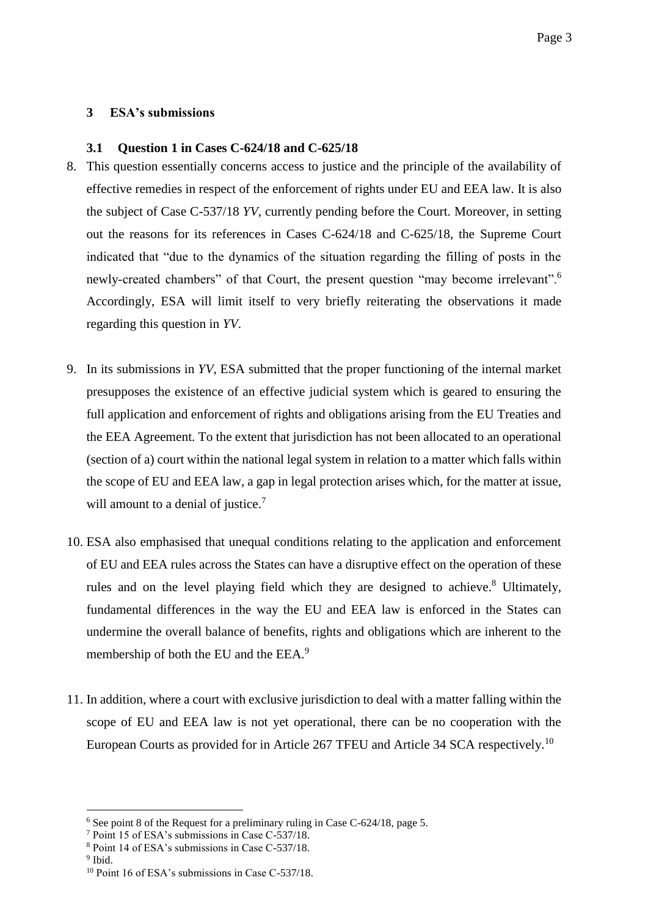## <span id="page-4-0"></span>**3 ESA's submissions**

### <span id="page-4-1"></span>**3.1 Question 1 in Cases C-624/18 and C-625/18**

- 8. This question essentially concerns access to justice and the principle of the availability of effective remedies in respect of the enforcement of rights under EU and EEA law. It is also the subject of Case C-537/18 *YV*, currently pending before the Court. Moreover, in setting out the reasons for its references in Cases C-624/18 and C-625/18, the Supreme Court indicated that "due to the dynamics of the situation regarding the filling of posts in the newly-created chambers" of that Court, the present question "may become irrelevant".<sup>6</sup> Accordingly, ESA will limit itself to very briefly reiterating the observations it made regarding this question in *YV*.
- 9. In its submissions in *YV*, ESA submitted that the proper functioning of the internal market presupposes the existence of an effective judicial system which is geared to ensuring the full application and enforcement of rights and obligations arising from the EU Treaties and the EEA Agreement. To the extent that jurisdiction has not been allocated to an operational (section of a) court within the national legal system in relation to a matter which falls within the scope of EU and EEA law, a gap in legal protection arises which, for the matter at issue, will amount to a denial of justice.<sup>7</sup>
- 10. ESA also emphasised that unequal conditions relating to the application and enforcement of EU and EEA rules across the States can have a disruptive effect on the operation of these rules and on the level playing field which they are designed to achieve.<sup>8</sup> Ultimately, fundamental differences in the way the EU and EEA law is enforced in the States can undermine the overall balance of benefits, rights and obligations which are inherent to the membership of both the EU and the EEA.<sup>9</sup>
- 11. In addition, where a court with exclusive jurisdiction to deal with a matter falling within the scope of EU and EEA law is not yet operational, there can be no cooperation with the European Courts as provided for in Article 267 TFEU and Article 34 SCA respectively.<sup>10</sup>

<sup>6</sup> See point 8 of the Request for a preliminary ruling in Case C-624/18, page 5.

<sup>7</sup> Point 15 of ESA's submissions in Case C-537/18.

<sup>8</sup> Point 14 of ESA's submissions in Case C-537/18.

<sup>&</sup>lt;sup>9</sup> Ibid.

<sup>&</sup>lt;sup>10</sup> Point 16 of ESA's submissions in Case C-537/18.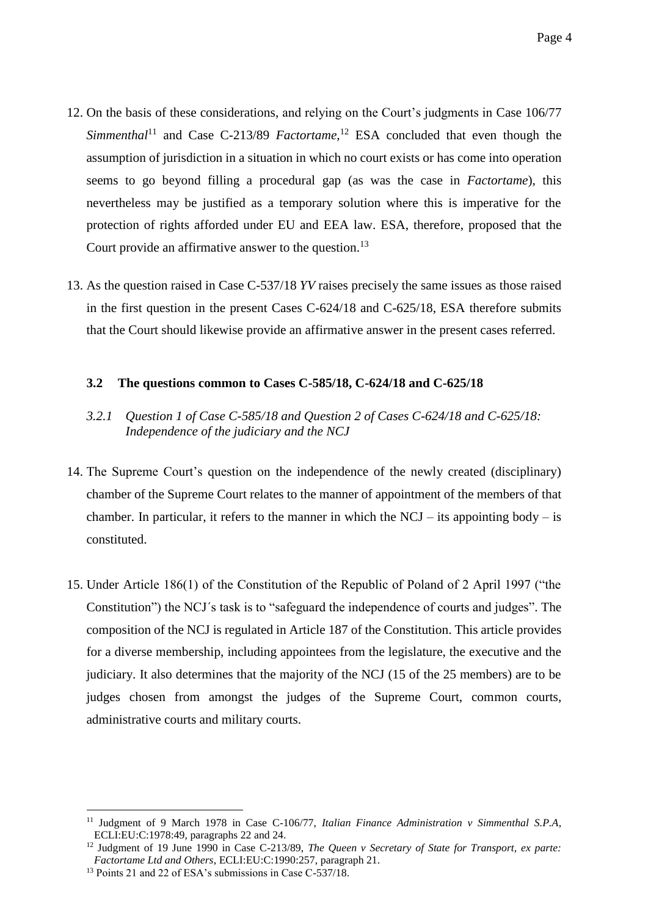- 12. On the basis of these considerations, and relying on the Court's judgments in Case 106/77 *Simmenthal*<sup>11</sup> and Case C-213/89 *Factortame*, <sup>12</sup> ESA concluded that even though the assumption of jurisdiction in a situation in which no court exists or has come into operation seems to go beyond filling a procedural gap (as was the case in *Factortame*), this nevertheless may be justified as a temporary solution where this is imperative for the protection of rights afforded under EU and EEA law. ESA, therefore, proposed that the Court provide an affirmative answer to the question.<sup>13</sup>
- 13. As the question raised in Case C-537/18 *YV* raises precisely the same issues as those raised in the first question in the present Cases C-624/18 and C-625/18, ESA therefore submits that the Court should likewise provide an affirmative answer in the present cases referred.

### <span id="page-5-0"></span>**3.2 The questions common to Cases C-585/18, C-624/18 and C-625/18**

- <span id="page-5-1"></span>*3.2.1 Question 1 of Case C-585/18 and Question 2 of Cases C-624/18 and C-625/18: Independence of the judiciary and the NCJ*
- 14. The Supreme Court's question on the independence of the newly created (disciplinary) chamber of the Supreme Court relates to the manner of appointment of the members of that chamber. In particular, it refers to the manner in which the  $NCJ -$  its appointing body – is constituted.
- 15. Under Article 186(1) of the Constitution of the Republic of Poland of 2 April 1997 ("the Constitution") the NCJ´s task is to "safeguard the independence of courts and judges". The composition of the NCJ is regulated in Article 187 of the Constitution. This article provides for a diverse membership, including appointees from the legislature, the executive and the judiciary. It also determines that the majority of the NCJ (15 of the 25 members) are to be judges chosen from amongst the judges of the Supreme Court, common courts, administrative courts and military courts.

<sup>11</sup> Judgment of 9 March 1978 in Case C-106/77, *Italian Finance Administration v Simmenthal S.P.A*, ECLI:EU:C:1978:49, paragraphs 22 and 24.

<sup>&</sup>lt;sup>12</sup> Judgment of 19 June 1990 in Case C-213/89, *The Queen v Secretary of State for Transport, ex parte: Factortame Ltd and Others*, ECLI:EU:C:1990:257, paragraph 21.

<sup>&</sup>lt;sup>13</sup> Points 21 and 22 of ESA's submissions in Case C-537/18.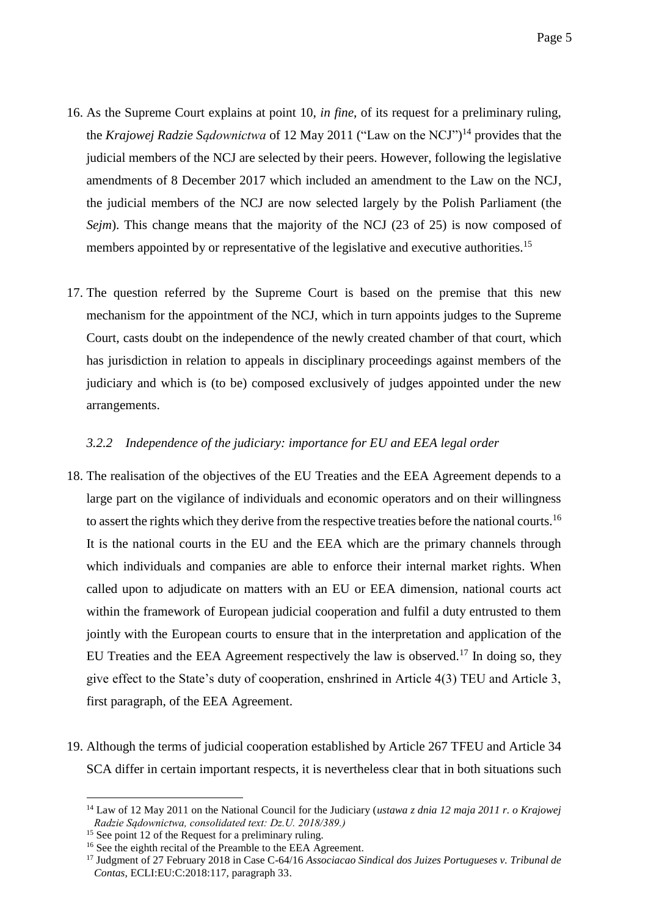- 16. As the Supreme Court explains at point 10, *in fine*, of its request for a preliminary ruling, the *Krajowej Radzie Sądownictwa* of 12 May 2011 ("Law on the NCJ") <sup>14</sup> provides that the judicial members of the NCJ are selected by their peers. However, following the legislative amendments of 8 December 2017 which included an amendment to the Law on the NCJ, the judicial members of the NCJ are now selected largely by the Polish Parliament (the *Sejm*). This change means that the majority of the NCJ (23 of 25) is now composed of members appointed by or representative of the legislative and executive authorities.<sup>15</sup>
- 17. The question referred by the Supreme Court is based on the premise that this new mechanism for the appointment of the NCJ, which in turn appoints judges to the Supreme Court, casts doubt on the independence of the newly created chamber of that court, which has jurisdiction in relation to appeals in disciplinary proceedings against members of the judiciary and which is (to be) composed exclusively of judges appointed under the new arrangements.

# <span id="page-6-0"></span>*3.2.2 Independence of the judiciary: importance for EU and EEA legal order*

- <span id="page-6-1"></span>18. The realisation of the objectives of the EU Treaties and the EEA Agreement depends to a large part on the vigilance of individuals and economic operators and on their willingness to assert the rights which they derive from the respective treaties before the national courts.<sup>16</sup> It is the national courts in the EU and the EEA which are the primary channels through which individuals and companies are able to enforce their internal market rights. When called upon to adjudicate on matters with an EU or EEA dimension, national courts act within the framework of European judicial cooperation and fulfil a duty entrusted to them jointly with the European courts to ensure that in the interpretation and application of the EU Treaties and the EEA Agreement respectively the law is observed.<sup>17</sup> In doing so, they give effect to the State's duty of cooperation, enshrined in Article 4(3) TEU and Article 3, first paragraph, of the EEA Agreement.
- 19. Although the terms of judicial cooperation established by Article 267 TFEU and Article 34 SCA differ in certain important respects, it is nevertheless clear that in both situations such

<sup>14</sup> Law of 12 May 2011 on the National Council for the Judiciary (*ustawa z dnia 12 maja 2011 r. o Krajowej Radzie Sądownictwa, consolidated text: Dz.U. 2018/389.)*

<sup>&</sup>lt;sup>15</sup> See point 12 of the Request for a preliminary ruling.

<sup>&</sup>lt;sup>16</sup> See the eighth recital of the Preamble to the EEA Agreement.

<sup>17</sup> Judgment of 27 February 2018 in Case C-64/16 *Associacao Sindical dos Juizes Portugueses v. Tribunal de Contas*, ECLI:EU:C:2018:117, paragraph 33.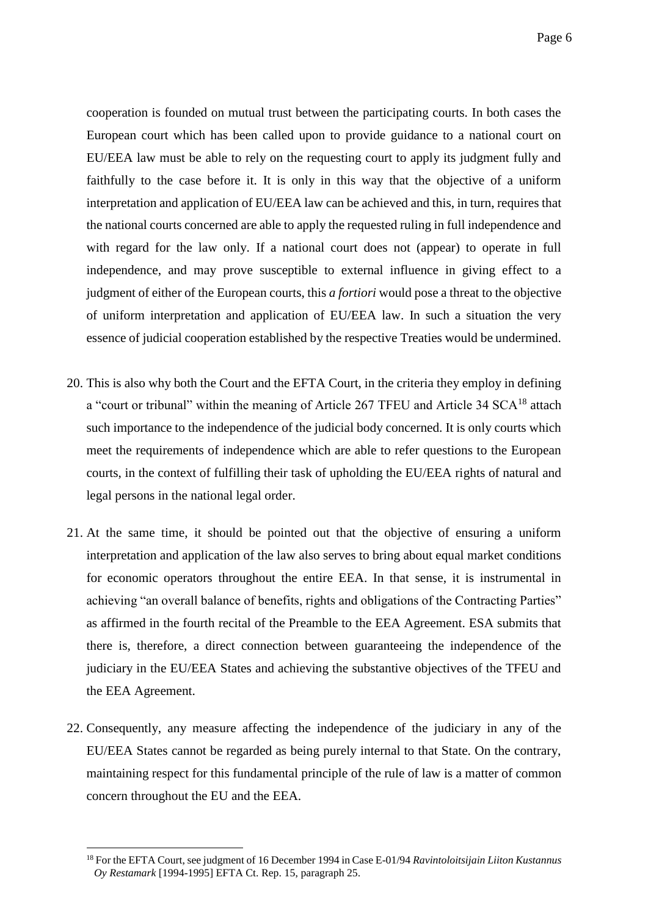cooperation is founded on mutual trust between the participating courts. In both cases the European court which has been called upon to provide guidance to a national court on EU/EEA law must be able to rely on the requesting court to apply its judgment fully and faithfully to the case before it. It is only in this way that the objective of a uniform interpretation and application of EU/EEA law can be achieved and this, in turn, requires that the national courts concerned are able to apply the requested ruling in full independence and with regard for the law only. If a national court does not (appear) to operate in full independence, and may prove susceptible to external influence in giving effect to a judgment of either of the European courts, this *a fortiori* would pose a threat to the objective of uniform interpretation and application of EU/EEA law. In such a situation the very essence of judicial cooperation established by the respective Treaties would be undermined.

- 20. This is also why both the Court and the EFTA Court, in the criteria they employ in defining a "court or tribunal" within the meaning of Article 267 TFEU and Article 34 SCA<sup>18</sup> attach such importance to the independence of the judicial body concerned. It is only courts which meet the requirements of independence which are able to refer questions to the European courts, in the context of fulfilling their task of upholding the EU/EEA rights of natural and legal persons in the national legal order.
- 21. At the same time, it should be pointed out that the objective of ensuring a uniform interpretation and application of the law also serves to bring about equal market conditions for economic operators throughout the entire EEA. In that sense, it is instrumental in achieving "an overall balance of benefits, rights and obligations of the Contracting Parties" as affirmed in the fourth recital of the Preamble to the EEA Agreement. ESA submits that there is, therefore, a direct connection between guaranteeing the independence of the judiciary in the EU/EEA States and achieving the substantive objectives of the TFEU and the EEA Agreement.
- 22. Consequently, any measure affecting the independence of the judiciary in any of the EU/EEA States cannot be regarded as being purely internal to that State. On the contrary, maintaining respect for this fundamental principle of the rule of law is a matter of common concern throughout the EU and the EEA.

<sup>18</sup> For the EFTA Court, see judgment of 16 December 1994 in Case E-01/94 *Ravintoloitsijain Liiton Kustannus Oy Restamark* [1994-1995] EFTA Ct. Rep. 15, paragraph 25.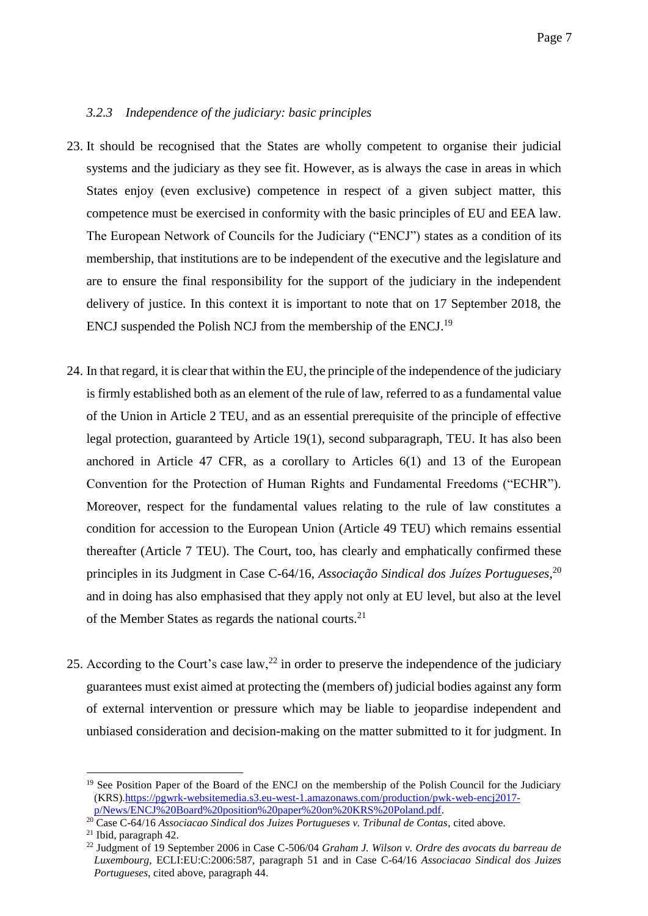## <span id="page-8-0"></span>*3.2.3 Independence of the judiciary: basic principles*

- 23. It should be recognised that the States are wholly competent to organise their judicial systems and the judiciary as they see fit. However, as is always the case in areas in which States enjoy (even exclusive) competence in respect of a given subject matter, this competence must be exercised in conformity with the basic principles of EU and EEA law. The European Network of Councils for the Judiciary ("ENCJ") states as a condition of its membership, that institutions are to be independent of the executive and the legislature and are to ensure the final responsibility for the support of the judiciary in the independent delivery of justice. In this context it is important to note that on 17 September 2018, the ENCJ suspended the Polish NCJ from the membership of the ENCJ.<sup>19</sup>
- 24. In that regard, it is clear that within the EU, the principle of the independence of the judiciary is firmly established both as an element of the rule of law, referred to as a fundamental value of the Union in Article 2 TEU, and as an essential prerequisite of the principle of effective legal protection, guaranteed by Article 19(1), second subparagraph, TEU. It has also been anchored in Article 47 CFR, as a corollary to Articles 6(1) and 13 of the European Convention for the Protection of Human Rights and Fundamental Freedoms ("ECHR"). Moreover, respect for the fundamental values relating to the rule of law constitutes a condition for accession to the European Union (Article 49 TEU) which remains essential thereafter (Article 7 TEU). The Court, too, has clearly and emphatically confirmed these principles in its Judgment in Case C-64/16, *Associação Sindical dos Juízes Portugueses*, 20 and in doing has also emphasised that they apply not only at EU level, but also at the level of the Member States as regards the national courts.<sup>21</sup>
- 25. According to the Court's case  $\text{law},^{22}$  in order to preserve the independence of the judiciary guarantees must exist aimed at protecting the (members of) judicial bodies against any form of external intervention or pressure which may be liable to jeopardise independent and unbiased consideration and decision-making on the matter submitted to it for judgment. In

<sup>&</sup>lt;sup>19</sup> See Position Paper of the Board of the ENCJ on the membership of the Polish Council for the Judiciary (KRS)[.https://pgwrk-websitemedia.s3.eu-west-1.amazonaws.com/production/pwk-web-encj2017](https://pgwrk-websitemedia.s3.eu-west-1.amazonaws.com/production/pwk-web-encj2017-p/News/ENCJ%20Board%20position%20paper%20on%20KRS%20Poland.pdf) [p/News/ENCJ%20Board%20position%20paper%20on%20KRS%20Poland.pdf.](https://pgwrk-websitemedia.s3.eu-west-1.amazonaws.com/production/pwk-web-encj2017-p/News/ENCJ%20Board%20position%20paper%20on%20KRS%20Poland.pdf)

<sup>20</sup> Case C-64/16 *Associacao Sindical dos Juizes Portugueses v. Tribunal de Contas*, cited above.

 $21$  Ibid, paragraph 42.

<sup>22</sup> Judgment of 19 September 2006 in Case C-506/04 *Graham J. Wilson v. Ordre des avocats du barreau de Luxembourg*, ECLI:EU:C:2006:587, paragraph 51 and in Case C-64/16 *Associacao Sindical dos Juizes Portugueses*, cited above, paragraph 44.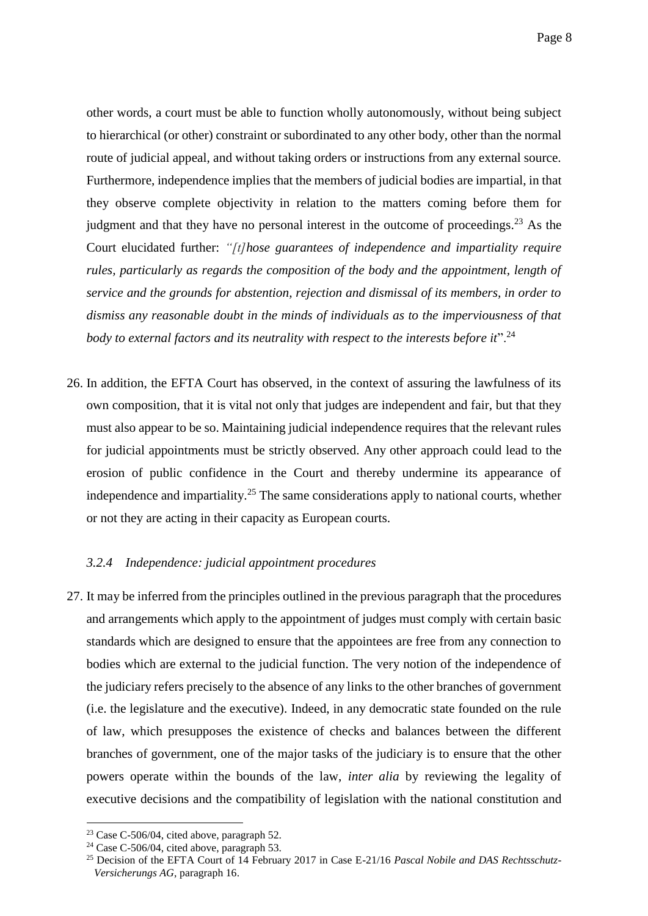other words, a court must be able to function wholly autonomously, without being subject to hierarchical (or other) constraint or subordinated to any other body, other than the normal route of judicial appeal, and without taking orders or instructions from any external source. Furthermore, independence implies that the members of judicial bodies are impartial, in that they observe complete objectivity in relation to the matters coming before them for judgment and that they have no personal interest in the outcome of proceedings.<sup>23</sup> As the Court elucidated further: *"[t]hose guarantees of independence and impartiality require rules, particularly as regards the composition of the body and the appointment, length of service and the grounds for abstention, rejection and dismissal of its members, in order to dismiss any reasonable doubt in the minds of individuals as to the imperviousness of that*  body to external factors and its neutrality with respect to the interests before it".<sup>24</sup>

26. In addition, the EFTA Court has observed, in the context of assuring the lawfulness of its own composition, that it is vital not only that judges are independent and fair, but that they must also appear to be so. Maintaining judicial independence requires that the relevant rules for judicial appointments must be strictly observed. Any other approach could lead to the erosion of public confidence in the Court and thereby undermine its appearance of independence and impartiality.<sup>25</sup> The same considerations apply to national courts, whether or not they are acting in their capacity as European courts.

#### <span id="page-9-0"></span>*3.2.4 Independence: judicial appointment procedures*

27. It may be inferred from the principles outlined in the previous paragraph that the procedures and arrangements which apply to the appointment of judges must comply with certain basic standards which are designed to ensure that the appointees are free from any connection to bodies which are external to the judicial function. The very notion of the independence of the judiciary refers precisely to the absence of any links to the other branches of government (i.e. the legislature and the executive). Indeed, in any democratic state founded on the rule of law, which presupposes the existence of checks and balances between the different branches of government, one of the major tasks of the judiciary is to ensure that the other powers operate within the bounds of the law, *inter alia* by reviewing the legality of executive decisions and the compatibility of legislation with the national constitution and

<u>.</u>

 $23$  Case C-506/04, cited above, paragraph 52.

<sup>24</sup> Case C-506/04, cited above, paragraph 53.

<sup>25</sup> Decision of the EFTA Court of 14 February 2017 in Case E-21/16 *Pascal Nobile and DAS Rechtsschutz-Versicherungs AG*, paragraph 16.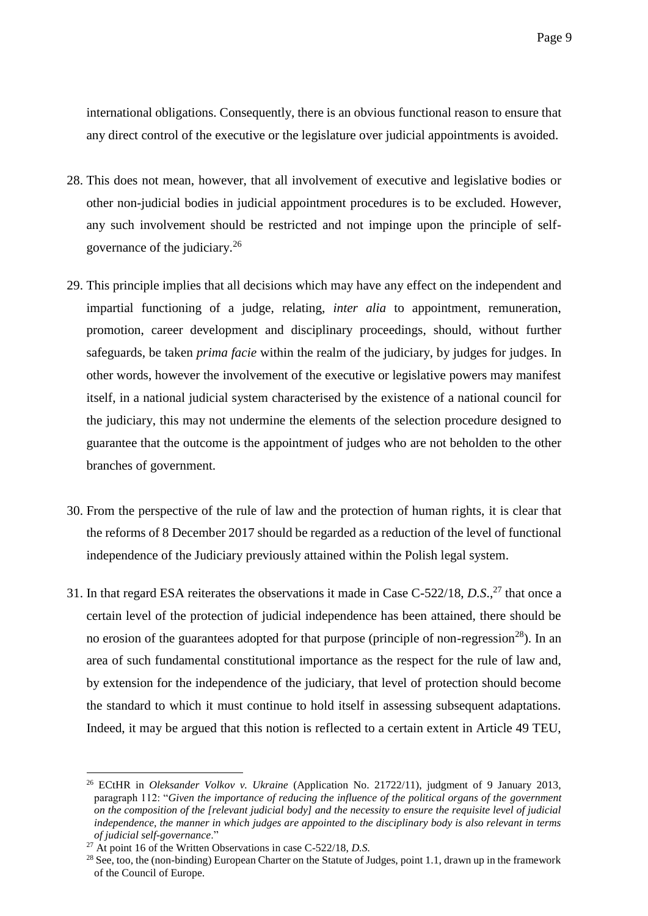international obligations. Consequently, there is an obvious functional reason to ensure that any direct control of the executive or the legislature over judicial appointments is avoided.

- 28. This does not mean, however, that all involvement of executive and legislative bodies or other non-judicial bodies in judicial appointment procedures is to be excluded. However, any such involvement should be restricted and not impinge upon the principle of selfgovernance of the judiciary.<sup>26</sup>
- 29. This principle implies that all decisions which may have any effect on the independent and impartial functioning of a judge, relating, *inter alia* to appointment, remuneration, promotion, career development and disciplinary proceedings, should, without further safeguards, be taken *prima facie* within the realm of the judiciary, by judges for judges. In other words, however the involvement of the executive or legislative powers may manifest itself, in a national judicial system characterised by the existence of a national council for the judiciary, this may not undermine the elements of the selection procedure designed to guarantee that the outcome is the appointment of judges who are not beholden to the other branches of government.
- 30. From the perspective of the rule of law and the protection of human rights, it is clear that the reforms of 8 December 2017 should be regarded as a reduction of the level of functional independence of the Judiciary previously attained within the Polish legal system.
- 31. In that regard ESA reiterates the observations it made in Case C-522/18, *D.S*., <sup>27</sup> that once a certain level of the protection of judicial independence has been attained, there should be no erosion of the guarantees adopted for that purpose (principle of non-regression<sup>28</sup>). In an area of such fundamental constitutional importance as the respect for the rule of law and, by extension for the independence of the judiciary, that level of protection should become the standard to which it must continue to hold itself in assessing subsequent adaptations. Indeed, it may be argued that this notion is reflected to a certain extent in Article 49 TEU,

<sup>1</sup> <sup>26</sup> ECtHR in *Oleksander Volkov v. Ukraine* (Application No. 21722/11), judgment of 9 January 2013, paragraph 112: "*Given the importance of reducing the influence of the political organs of the government on the composition of the [relevant judicial body] and the necessity to ensure the requisite level of judicial independence, the manner in which judges are appointed to the disciplinary body is also relevant in terms of judicial self-governance*."

<sup>27</sup> At point 16 of the Written Observations in case C-522/18, *D.S.*

<sup>&</sup>lt;sup>28</sup> See, too, the (non-binding) European Charter on the Statute of Judges, point 1.1, drawn up in the framework of the Council of Europe.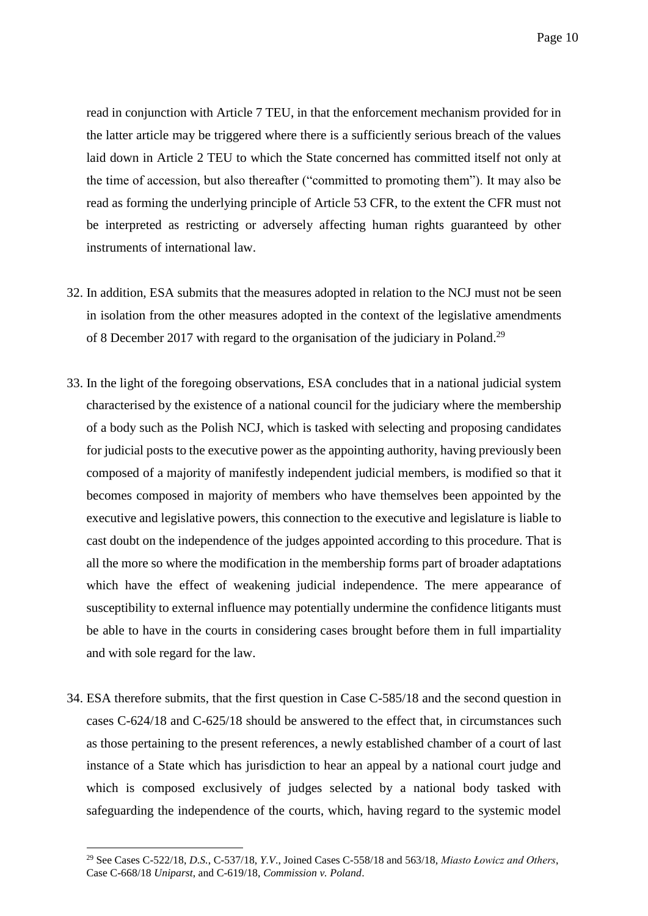read in conjunction with Article 7 TEU, in that the enforcement mechanism provided for in the latter article may be triggered where there is a sufficiently serious breach of the values laid down in Article 2 TEU to which the State concerned has committed itself not only at the time of accession, but also thereafter ("committed to promoting them"). It may also be read as forming the underlying principle of Article 53 CFR, to the extent the CFR must not be interpreted as restricting or adversely affecting human rights guaranteed by other instruments of international law.

- 32. In addition, ESA submits that the measures adopted in relation to the NCJ must not be seen in isolation from the other measures adopted in the context of the legislative amendments of 8 December 2017 with regard to the organisation of the judiciary in Poland.<sup>29</sup>
- 33. In the light of the foregoing observations, ESA concludes that in a national judicial system characterised by the existence of a national council for the judiciary where the membership of a body such as the Polish NCJ, which is tasked with selecting and proposing candidates for judicial posts to the executive power as the appointing authority, having previously been composed of a majority of manifestly independent judicial members, is modified so that it becomes composed in majority of members who have themselves been appointed by the executive and legislative powers, this connection to the executive and legislature is liable to cast doubt on the independence of the judges appointed according to this procedure. That is all the more so where the modification in the membership forms part of broader adaptations which have the effect of weakening judicial independence. The mere appearance of susceptibility to external influence may potentially undermine the confidence litigants must be able to have in the courts in considering cases brought before them in full impartiality and with sole regard for the law.
- 34. ESA therefore submits, that the first question in Case C-585/18 and the second question in cases C-624/18 and C-625/18 should be answered to the effect that, in circumstances such as those pertaining to the present references, a newly established chamber of a court of last instance of a State which has jurisdiction to hear an appeal by a national court judge and which is composed exclusively of judges selected by a national body tasked with safeguarding the independence of the courts, which, having regard to the systemic model

<sup>29</sup> See Cases C-522/18, *D.S.*, C-537/18, *Y.V*., Joined Cases C-558/18 and 563/18, *Miasto Łowicz and Others*, Case C-668/18 *Uniparst*, and C-619/18, *Commission v. Poland*.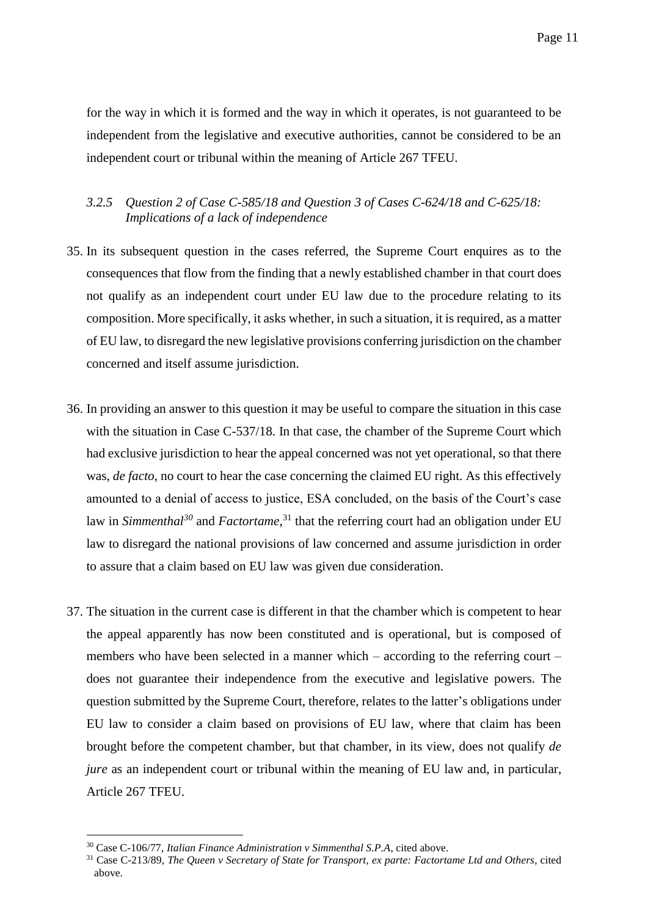for the way in which it is formed and the way in which it operates, is not guaranteed to be independent from the legislative and executive authorities, cannot be considered to be an independent court or tribunal within the meaning of Article 267 TFEU.

# <span id="page-12-0"></span>*3.2.5 Question 2 of Case C-585/18 and Question 3 of Cases C-624/18 and C-625/18: Implications of a lack of independence*

- 35. In its subsequent question in the cases referred, the Supreme Court enquires as to the consequences that flow from the finding that a newly established chamber in that court does not qualify as an independent court under EU law due to the procedure relating to its composition. More specifically, it asks whether, in such a situation, it is required, as a matter of EU law, to disregard the new legislative provisions conferring jurisdiction on the chamber concerned and itself assume jurisdiction.
- 36. In providing an answer to this question it may be useful to compare the situation in this case with the situation in Case C-537/18. In that case, the chamber of the Supreme Court which had exclusive jurisdiction to hear the appeal concerned was not yet operational, so that there was, *de facto*, no court to hear the case concerning the claimed EU right. As this effectively amounted to a denial of access to justice, ESA concluded, on the basis of the Court's case law in *Simmenthal<sup>30</sup>* and *Factortame*, <sup>31</sup> that the referring court had an obligation under EU law to disregard the national provisions of law concerned and assume jurisdiction in order to assure that a claim based on EU law was given due consideration.
- 37. The situation in the current case is different in that the chamber which is competent to hear the appeal apparently has now been constituted and is operational, but is composed of members who have been selected in a manner which – according to the referring court – does not guarantee their independence from the executive and legislative powers. The question submitted by the Supreme Court, therefore, relates to the latter's obligations under EU law to consider a claim based on provisions of EU law, where that claim has been brought before the competent chamber, but that chamber, in its view, does not qualify *de jure* as an independent court or tribunal within the meaning of EU law and, in particular, Article 267 TFEU.

<sup>30</sup> Case C-106/77, *Italian Finance Administration v Simmenthal S.P.A*, cited above.

<sup>31</sup> Case C-213/89, *The Queen v Secretary of State for Transport, ex parte: Factortame Ltd and Others*, cited above.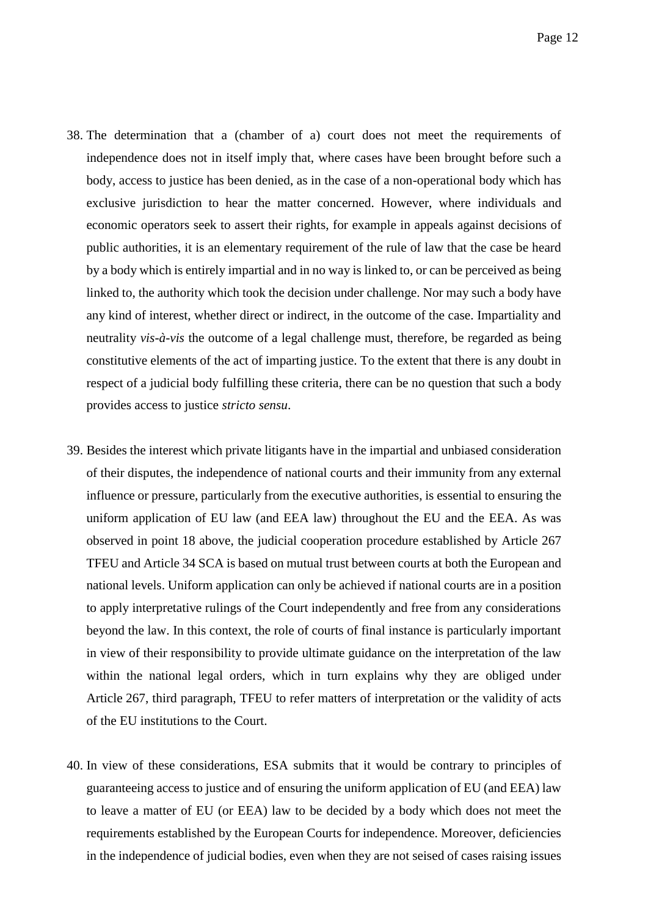- 38. The determination that a (chamber of a) court does not meet the requirements of independence does not in itself imply that, where cases have been brought before such a body, access to justice has been denied, as in the case of a non-operational body which has exclusive jurisdiction to hear the matter concerned. However, where individuals and economic operators seek to assert their rights, for example in appeals against decisions of public authorities, it is an elementary requirement of the rule of law that the case be heard by a body which is entirely impartial and in no way is linked to, or can be perceived as being linked to, the authority which took the decision under challenge. Nor may such a body have any kind of interest, whether direct or indirect, in the outcome of the case. Impartiality and neutrality *vis-à-vis* the outcome of a legal challenge must, therefore, be regarded as being constitutive elements of the act of imparting justice. To the extent that there is any doubt in respect of a judicial body fulfilling these criteria, there can be no question that such a body provides access to justice *stricto sensu*.
- 39. Besides the interest which private litigants have in the impartial and unbiased consideration of their disputes, the independence of national courts and their immunity from any external influence or pressure, particularly from the executive authorities, is essential to ensuring the uniform application of EU law (and EEA law) throughout the EU and the EEA. As was observed in point [18](#page-6-1) above, the judicial cooperation procedure established by Article 267 TFEU and Article 34 SCA is based on mutual trust between courts at both the European and national levels. Uniform application can only be achieved if national courts are in a position to apply interpretative rulings of the Court independently and free from any considerations beyond the law. In this context, the role of courts of final instance is particularly important in view of their responsibility to provide ultimate guidance on the interpretation of the law within the national legal orders, which in turn explains why they are obliged under Article 267, third paragraph, TFEU to refer matters of interpretation or the validity of acts of the EU institutions to the Court.
- 40. In view of these considerations, ESA submits that it would be contrary to principles of guaranteeing access to justice and of ensuring the uniform application of EU (and EEA) law to leave a matter of EU (or EEA) law to be decided by a body which does not meet the requirements established by the European Courts for independence. Moreover, deficiencies in the independence of judicial bodies, even when they are not seised of cases raising issues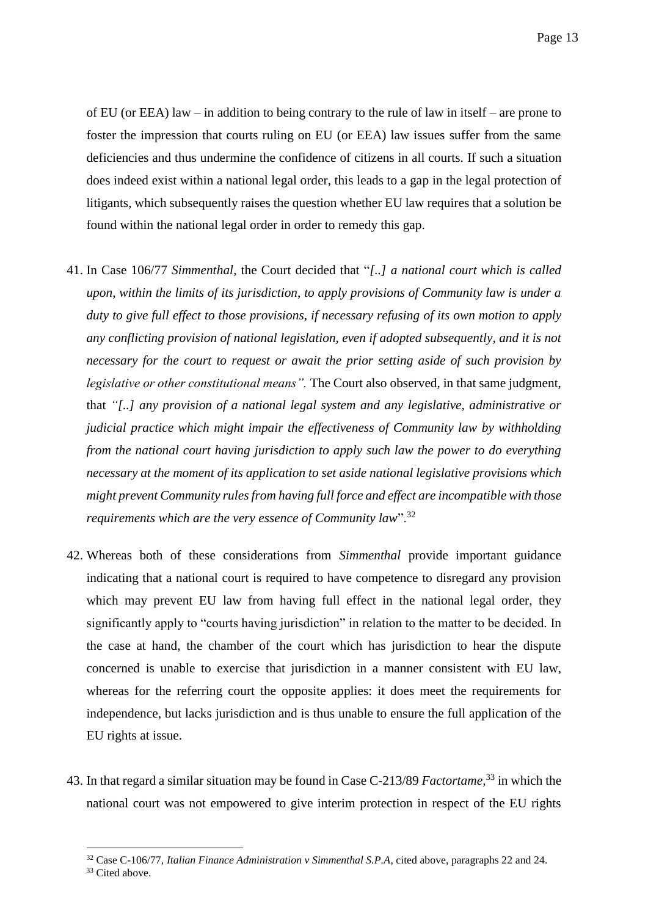of EU (or EEA) law – in addition to being contrary to the rule of law in itself – are prone to foster the impression that courts ruling on EU (or EEA) law issues suffer from the same deficiencies and thus undermine the confidence of citizens in all courts. If such a situation does indeed exist within a national legal order, this leads to a gap in the legal protection of litigants, which subsequently raises the question whether EU law requires that a solution be found within the national legal order in order to remedy this gap.

- 41. In Case 106/77 *Simmenthal*, the Court decided that "*[..] a national court which is called upon, within the limits of its jurisdiction, to apply provisions of Community law is under a duty to give full effect to those provisions, if necessary refusing of its own motion to apply any conflicting provision of national legislation, even if adopted subsequently, and it is not necessary for the court to request or await the prior setting aside of such provision by legislative or other constitutional means".* The Court also observed, in that same judgment, that *"[..] any provision of a national legal system and any legislative, administrative or judicial practice which might impair the effectiveness of Community law by withholding from the national court having jurisdiction to apply such law the power to do everything necessary at the moment of its application to set aside national legislative provisions which might prevent Community rules from having full force and effect are incompatible with those requirements which are the very essence of Community law*".<sup>32</sup>
- 42. Whereas both of these considerations from *Simmenthal* provide important guidance indicating that a national court is required to have competence to disregard any provision which may prevent EU law from having full effect in the national legal order, they significantly apply to "courts having jurisdiction" in relation to the matter to be decided. In the case at hand, the chamber of the court which has jurisdiction to hear the dispute concerned is unable to exercise that jurisdiction in a manner consistent with EU law, whereas for the referring court the opposite applies: it does meet the requirements for independence, but lacks jurisdiction and is thus unable to ensure the full application of the EU rights at issue.
- 43. In that regard a similar situation may be found in Case C-213/89 *Factortame,* <sup>33</sup> in which the national court was not empowered to give interim protection in respect of the EU rights

<sup>1</sup> <sup>32</sup> Case C-106/77, *Italian Finance Administration v Simmenthal S.P.A*, cited above, paragraphs 22 and 24.

<sup>&</sup>lt;sup>33</sup> Cited above.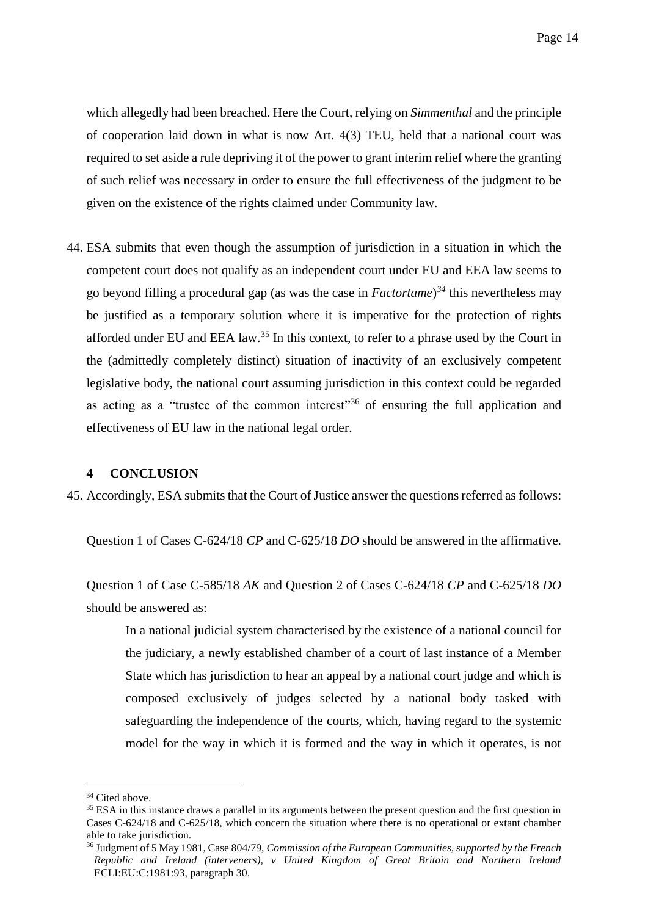which allegedly had been breached. Here the Court, relying on *Simmenthal* and the principle of cooperation laid down in what is now Art. 4(3) TEU, held that a national court was required to set aside a rule depriving it of the power to grant interim relief where the granting of such relief was necessary in order to ensure the full effectiveness of the judgment to be given on the existence of the rights claimed under Community law.

44. ESA submits that even though the assumption of jurisdiction in a situation in which the competent court does not qualify as an independent court under EU and EEA law seems to go beyond filling a procedural gap (as was the case in *Factortame*) *<sup>34</sup>* this nevertheless may be justified as a temporary solution where it is imperative for the protection of rights afforded under EU and EEA law.<sup>35</sup> In this context, to refer to a phrase used by the Court in the (admittedly completely distinct) situation of inactivity of an exclusively competent legislative body, the national court assuming jurisdiction in this context could be regarded as acting as a "trustee of the common interest"<sup>36</sup> of ensuring the full application and effectiveness of EU law in the national legal order.

#### <span id="page-15-0"></span>**4 CONCLUSION**

45. Accordingly, ESA submits that the Court of Justice answer the questions referred as follows:

Question 1 of Cases C-624/18 *CP* and C-625/18 *DO* should be answered in the affirmative.

Question 1 of Case C-585/18 *AK* and Question 2 of Cases C-624/18 *CP* and C-625/18 *DO* should be answered as:

In a national judicial system characterised by the existence of a national council for the judiciary, a newly established chamber of a court of last instance of a Member State which has jurisdiction to hear an appeal by a national court judge and which is composed exclusively of judges selected by a national body tasked with safeguarding the independence of the courts, which, having regard to the systemic model for the way in which it is formed and the way in which it operates, is not

<u>.</u>

<sup>&</sup>lt;sup>34</sup> Cited above.

<sup>&</sup>lt;sup>35</sup> ESA in this instance draws a parallel in its arguments between the present question and the first question in Cases C-624/18 and C-625/18, which concern the situation where there is no operational or extant chamber able to take jurisdiction.

<sup>36</sup> Judgment of 5 May 1981, Case 804/79, *Commission of the European Communities, supported by the French Republic and Ireland (interveners), v United Kingdom of Great Britain and Northern Ireland*  ECLI:EU:C:1981:93, paragraph 30.